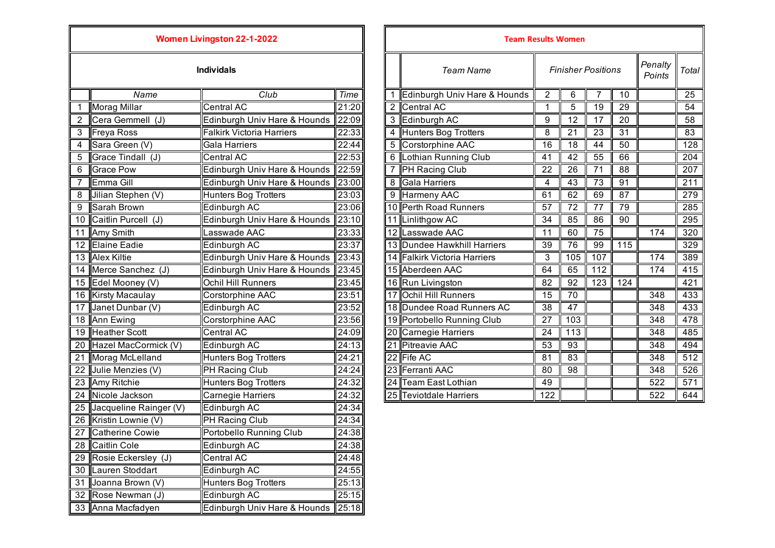| <b>Women Livingston 22-1-2022</b> |                                 |                                  |                |  |                  | <b>Team Results Women</b>    |                 |                 |
|-----------------------------------|---------------------------------|----------------------------------|----------------|--|------------------|------------------------------|-----------------|-----------------|
| <b>Individals</b>                 |                                 |                                  |                |  | <b>Team Name</b> |                              | Finisher        |                 |
|                                   | Name                            | Club                             | Time           |  | 1                | Edinburgh Univ Hare & Hounds | $\overline{2}$  | 6               |
| 1                                 | <b>Morag Millar</b>             | Central AC                       | 21:20          |  |                  | 2 Central AC                 | 1               | 5               |
| 2                                 | Cera Gemmell (J)                | Edinburgh Univ Hare & Hounds     | 22:09          |  |                  | 3 Edinburgh AC               | 9               | 12              |
| 3                                 | Freya Ross                      | <b>Falkirk Victoria Harriers</b> | 22:33          |  |                  | 4 Hunters Bog Trotters       | 8               | 21              |
| 4                                 | Sara Green (V)                  | Gala Harriers                    | 22:44          |  |                  | 5 Corstorphine AAC           | 16              | 18              |
| 5                                 | Grace Tindall (J)               | <b>Central AC</b>                | 22:53          |  |                  | 6 Lothian Running Club       |                 | $\overline{42}$ |
| 6                                 | <b>Grace Pow</b>                | Edinburgh Univ Hare & Hounds     | 22:59          |  |                  | 7  PH Racing Club            |                 | 26              |
| 7                                 | Emma Gill                       | Edinburgh Univ Hare & Hounds     | 23:00          |  |                  | 8 Gala Harriers              | 4               | 43              |
| 8                                 | Jilian Stephen (V)              | <b>Hunters Bog Trotters</b>      | 23:03          |  | 9                | <b>Harmeny AAC</b>           | 61              | 62              |
| 9                                 | Sarah Brown                     | Edinburgh AC                     | 23:06          |  |                  | 10 Perth Road Runners        | 57              | 72              |
| 10                                | Caitlin Purcell (J)             | Edinburgh Univ Hare & Hounds     | 23:10          |  |                  | 11 Linlithgow AC             | 34              | 85              |
| 11                                | Amy Smith                       | Lasswade AAC                     | 23:33          |  |                  | 12 Lasswade AAC              | 11              | 60              |
| 12                                | <b>Elaine Eadie</b>             | Edinburgh AC                     | 23:37          |  |                  | 13 Dundee Hawkhill Harriers  | 39              | 76              |
| 13                                | <b>Alex Kiltie</b>              | Edinburgh Univ Hare & Hounds     | 23:43          |  |                  | 14 Falkirk Victoria Harriers | 3               | 105             |
| 14                                | Merce Sanchez (J)               | Edinburgh Univ Hare & Hounds     | 23:45          |  |                  | 15 Aberdeen AAC              | 64              | 65              |
| 15                                | Edel Mooney (V)                 | Ochil Hill Runners               | 23:45          |  |                  | 16 Run Livingston            | 82              | 92              |
| 16                                | <b>Kirsty Macaulay</b>          | Corstorphine AAC                 | 23:51          |  |                  | 17 Ochil Hill Runners        | 15              | 70              |
| 17                                | Janet Dunbar (V)                | Edinburgh AC                     | 23:52          |  |                  | 18 Dundee Road Runners AC    | 38              | 47              |
| 18                                | <b>Ann Ewing</b>                | <b>Corstorphine AAC</b>          | 23:56          |  |                  | 19 Portobello Running Club   | $\overline{27}$ | 103             |
| 19                                | <b>Heather Scott</b>            | <b>Central AC</b>                | 24:09          |  |                  | 20 Carnegie Harriers         | 24              | 113             |
| 20                                | Hazel MacCormick (V)            | Edinburgh AC                     | 24:13          |  |                  | 21 Pitreavie AAC             | $\overline{53}$ | $\overline{93}$ |
| 21                                | Morag McLelland                 | <b>Hunters Bog Trotters</b>      | 24:21          |  |                  | 22 Fife AC                   | 81              | 83              |
| 22                                | Julie Menzies (V)               | PH Racing Club                   | 24:24          |  |                  | 23 Ferranti AAC              | 80              | 98              |
| 23                                | Amy Ritchie                     | <b>Hunters Bog Trotters</b>      | 24:32          |  |                  | 24 Team East Lothian         | 49              |                 |
| 24                                | Nicole Jackson                  | Carnegie Harriers                | 24:32          |  |                  | 25 Teviotdale Harriers       | 122             |                 |
| 25                                | Jacqueline Rainger (V)          | Edinburgh AC                     | 24:34          |  |                  |                              |                 |                 |
| 26                                | Kristin Lownie (V)              | PH Racing Club                   | 24:34          |  |                  |                              |                 |                 |
| 27                                | <b>Catherine Cowie</b>          | <b>Portobello Running Club</b>   | 24:38          |  |                  |                              |                 |                 |
| 28                                | <b>Caitlin Cole</b>             | Edinburgh AC                     | 24:38          |  |                  |                              |                 |                 |
| 29                                | Rosie Eckersley (J)             | Central AC                       | 24:48          |  |                  |                              |                 |                 |
| 30                                | Lauren Stoddart                 | Edinburgh AC                     | 24:55          |  |                  |                              |                 |                 |
| 31                                | Joanna Brown (V)                | <b>Hunters Bog Trotters</b>      | 25:13<br>25:15 |  |                  |                              |                 |                 |
| 32                                | Rose Newman (J)<br>Edinburgh AC |                                  |                |  |                  |                              |                 |                 |
| 33                                | Anna Macfadyen                  | Edinburgh Univ Hare & Hounds     | 25:18          |  |                  |                              |                 |                 |

| <b>Women Livingston 22-1-2022</b> |                         |                                  |       |                | <b>Team Results Women</b>    |                |                           |                 |                 |                   |                 |
|-----------------------------------|-------------------------|----------------------------------|-------|----------------|------------------------------|----------------|---------------------------|-----------------|-----------------|-------------------|-----------------|
|                                   |                         | <b>Individals</b>                |       |                | <b>Team Name</b>             |                | <b>Finisher Positions</b> |                 |                 | Penalty<br>Points | Total           |
|                                   | Name                    | Club                             | Time  |                | Edinburgh Univ Hare & Hounds | $\overline{2}$ | 6                         |                 | 10              |                   | 25              |
|                                   | <b>Morag Millar</b>     | <b>Central AC</b>                | 21:20 | $\overline{2}$ | <b>Central AC</b>            | $\mathbf{1}$   | 5                         | 19              | 29              |                   | 54              |
|                                   | Cera Gemmell (J)        | Edinburgh Univ Hare & Hounds     | 22:09 | 3              | Edinburgh AC                 | 9              | 12                        | 17              | 20              |                   | 58              |
| $\overline{3}$                    | <b>Freya Ross</b>       | <b>Falkirk Victoria Harriers</b> | 22:33 | $\overline{4}$ | <b>Hunters Bog Trotters</b>  | 8              | $\overline{21}$           | $\overline{23}$ | $\overline{31}$ |                   | $\overline{83}$ |
| 4                                 | Sara Green (V)          | Gala Harriers                    | 22:44 | 5              | <b>Corstorphine AAC</b>      | 16             | 18                        | 44              | 50              |                   | 128             |
| 5                                 | Grace Tindall (J)       | <b>Central AC</b>                | 22:53 | 6              | Lothian Running Club         | 41             | 42                        | 55              | 66              |                   | 204             |
| 6                                 | <b>Grace Pow</b>        | Edinburgh Univ Hare & Hounds     | 22:59 |                | PH Racing Club               | 22             | 26                        | 71              | 88              |                   | 207             |
|                                   | Emma Gill               | Edinburgh Univ Hare & Hounds     | 23:00 | 8              | Gala Harriers                | 4              | 43                        | 73              | 91              |                   | 211             |
| 8                                 | Jilian Stephen (V)      | Hunters Bog Trotters             | 23:03 | 9              | <b>Harmeny AAC</b>           | 61             | 62                        | 69              | 87              |                   | 279             |
| 9                                 | Sarah Brown             | Edinburgh AC                     | 23:06 |                | 10 Perth Road Runners        | 57             | 72                        | 77              | 79              |                   | 285             |
| 10                                | Caitlin Purcell (J)     | Edinburgh Univ Hare & Hounds     | 23:10 |                | Linlithgow AC                | 34             | 85                        | 86              | 90              |                   | 295             |
|                                   | 11 Amy Smith            | Lasswade AAC                     | 23:33 | 12             | Lasswade AAC                 | 11             | 60                        | 75              |                 | 174               | 320             |
|                                   | 12 Elaine Eadie         | Edinburgh AC                     | 23:37 |                | 13 Dundee Hawkhill Harriers  | 39             | 76                        | 99              | 115             |                   | 329             |
|                                   | 13 Alex Kiltie          | Edinburgh Univ Hare & Hounds     | 23:43 |                | 14 Falkirk Victoria Harriers | 3              | 105                       | 107             |                 | 174               | 389             |
|                                   | 14 Merce Sanchez (J)    | Edinburgh Univ Hare & Hounds     | 23:45 |                | 15 Aberdeen AAC              | 64             | 65                        | 112             |                 | 174               | 415             |
|                                   | 15 Edel Mooney (V)      | <b>Ochil Hill Runners</b>        | 23:45 |                | 16 Run Livingston            | 82             | 92                        | 123             | 124             |                   | 421             |
|                                   | 16 Kirsty Macaulay      | Corstorphine AAC                 | 23:51 | 17             | <b>Ochil Hill Runners</b>    | 15             | 70                        |                 |                 | 348               | 433             |
| $\overline{17}$                   | Janet Dunbar (V)        | Edinburgh AC                     | 23:52 |                | 18 Dundee Road Runners AC    | 38             | 47                        |                 |                 | 348               | 433             |
|                                   | 18 Ann Ewing            | Corstorphine AAC                 | 23:56 |                | 19 Portobello Running Club   | 27             | 103                       |                 |                 | 348               | 478             |
|                                   | 19 Heather Scott        | <b>Central AC</b>                | 24:09 |                | Carnegie Harriers            | 24             | 113                       |                 |                 | 348               | 485             |
|                                   | 20 Hazel MacCormick (V) | Edinburgh AC                     | 24:13 | 21             | <b>Pitreavie AAC</b>         | 53             | $\overline{93}$           |                 |                 | 348               | 494             |
| 21                                | Morag McLelland         | Hunters Bog Trotters             | 24:21 |                | 22 Fife AC                   | 81             | 83                        |                 |                 | 348               | 512             |
| $\overline{22}$                   | Julie Menzies (V)       | <b>PH Racing Club</b>            | 24:24 |                | 23 Ferranti AAC              | 80             | 98                        |                 |                 | 348               | 526             |
|                                   | 23 Amy Ritchie          | <b>Hunters Bog Trotters</b>      | 24:32 | 24             | Team East Lothian            | 49             |                           |                 |                 | 522               | 571             |
|                                   | 24 Nicole Jackson       | <b>Carnegie Harriers</b>         | 24:32 |                | 25 Teviotdale Harriers       | 122            |                           |                 |                 | 522               | 644             |
|                                   |                         |                                  |       |                |                              |                |                           |                 |                 |                   |                 |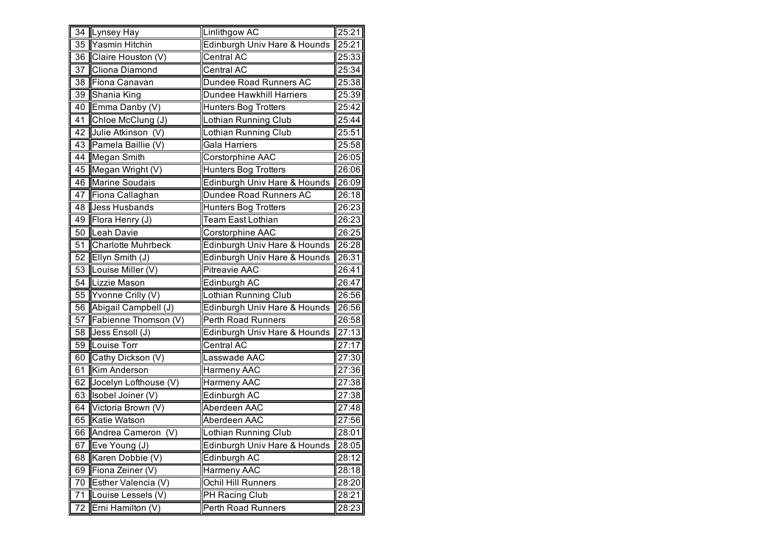| $\overline{34}$ | <b>Lynsey Hay</b>         | Linlithgow AC                   | 25:21          |
|-----------------|---------------------------|---------------------------------|----------------|
| $\overline{35}$ | Yasmin Hitchin            | Edinburgh Univ Hare & Hounds    | $\sqrt{25:21}$ |
| 36              | Claire Houston (V)        | Central AC                      | 25:33          |
| 37              | Cliona Diamond            | Central AC                      | 25:34          |
| 38              | Fíona Canavan             | Dundee Road Runners AC          | 25:38          |
| 39              | Shania King               | <b>Dundee Hawkhill Harriers</b> | 25:39          |
| 40              | Emma Danby (V)            | Hunters Bog Trotters            | 25:42          |
| 41              | Chloe McClung (J)         | Lothian Running Club            | 25:44          |
| 42              | Julie Atkinson (V)        | Lothian Running Club            | 25:51          |
| 43              | Pamela Baillie (V)        | <b>Gala Harriers</b>            | 25:58          |
| 44              | <b>Megan Smith</b>        | Corstorphine AAC                | 26:05          |
| 45              | Megan Wright (V)          | <b>Hunters Bog Trotters</b>     | 26:06          |
| 46              | <b>Marine Soudais</b>     | Edinburgh Univ Hare & Hounds    | 26:09          |
| 47              | Fiona Callaghan           | Dundee Road Runners AC          | 26:18          |
| 48              | Jess Husbands             | <b>Hunters Bog Trotters</b>     | 26:23          |
| 49              | Flora Henry (J)           | <b>Team East Lothian</b>        | 26:23          |
| 50              | Leah Davie                | Corstorphine AAC                | 26:25          |
| 51              | <b>Charlotte Muhrbeck</b> | Edinburgh Univ Hare & Hounds    | 26:28          |
| 52              | Ellyn Smith (J)           | Edinburgh Univ Hare & Hounds    | 26:31          |
| 53              | Louise Miller (V)         | <b>Pitreavie AAC</b>            | 26:41          |
| 54              | Lizzie Mason              | Edinburgh AC                    | 26:47          |
| 55              | Yvonne Crilly (V)         | Lothian Running Club            | 26:56          |
| 56              | Abigail Campbell (J)      | Edinburgh Univ Hare & Hounds    | 26:56          |
| 57              | Fabienne Thomson (V)      | Perth Road Runners              | 26:58          |
| 58              | Jess Ensoll (J)           | Edinburgh Univ Hare & Hounds    | 27:13          |
| 59              | Louise Torr               | Central AC                      | 27:17          |
| 60              | Cathy Dickson (V)         | Lasswade AAC                    | 27:30          |
| 61              | Kim Anderson              | Harmeny AAC                     | 27:36          |
| 62              | Jocelyn Lofthouse (V)     | <b>Harmeny AAC</b>              | 27:38          |
| 63              | Isobel Joiner (V)         | Edinburgh AC                    | 27:38          |
| 64              | Victoria Brown (V)        | Aberdeen AAC                    | 27:48          |
| 65              | Katie Watson              | Aberdeen AAC                    | 27:56          |
| 66              | Andrea Cameron (V)        | Lothian Running Club            | 28:01          |
| 67              | Eve Young (J)             | Edinburgh Univ Hare & Hounds    | 28:05          |
| 68              | Karen Dobbie (V)          | Edinburgh AC                    | 28:12          |
| 69              | Fiona Zeiner (V)          | Harmeny AAC                     | 28:18          |
| 70              | Esther Valencia (V)       | Ochil Hill Runners              | 28:20          |
| 71              | Louise Lessels (V)        | PH Racing Club                  | 28:21          |
| 72              | Erni Hamilton (V)         | Perth Road Runners              | 28:23          |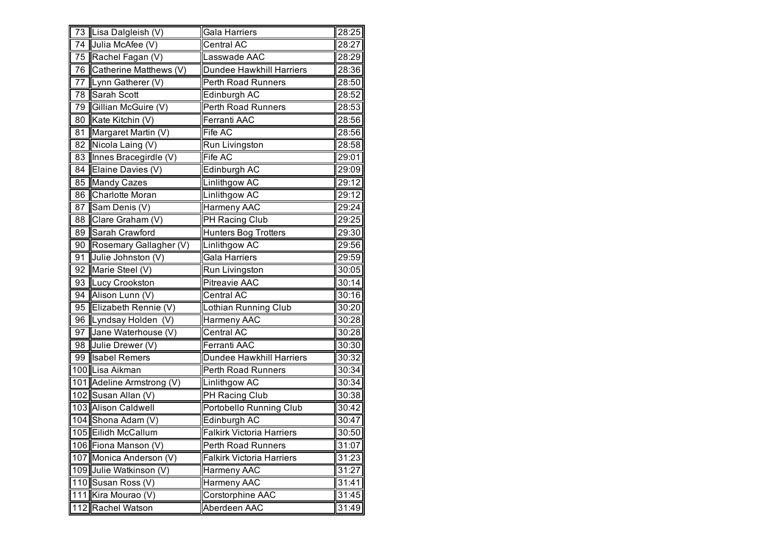|    | 73 Lisa Dalgleish (V)     | Gala Harriers                    | 28:25 |
|----|---------------------------|----------------------------------|-------|
|    | 74 Julia McAfee (V)       | Central AC                       | 28:27 |
| 75 | Rachel Fagan (V)          | Lasswade AAC                     | 28:29 |
|    | 76 Catherine Matthews (V) | <b>Dundee Hawkhill Harriers</b>  | 28:36 |
| 77 | Lynn Gatherer (V)         | Perth Road Runners               | 28:50 |
| 78 | <b>Sarah Scott</b>        | Edinburgh AC                     | 28:52 |
| 79 | Gillian McGuire (V)       | Perth Road Runners               | 28:53 |
| 80 | Kate Kitchin (V)          | Ferranti AAC                     | 28:56 |
| 81 | Margaret Martin (V)       | Fife AC                          | 28:56 |
| 82 | Nicola Laing (V)          | Run Livingston                   | 28:58 |
| 83 | Innes Bracegirdle (V)     | Fife AC                          | 29:01 |
| 84 | Elaine Davies (V)         | Edinburgh AC                     | 29:09 |
| 85 | Mandy Cazes               | Linlithgow AC                    | 29:12 |
| 86 | Charlotte Moran           | Linlithgow AC                    | 29:12 |
| 87 | Sam Denis (V)             | Harmeny AAC                      | 29:24 |
| 88 | Clare Graham (V)          | <b>PH Racing Club</b>            | 29:25 |
| 89 | Sarah Crawford            | <b>Hunters Bog Trotters</b>      | 29:30 |
| 90 | Rosemary Gallagher (V)    | Linlithgow AC                    | 29:56 |
| 91 | Julie Johnston (V)        | Gala Harriers                    | 29:59 |
| 92 | Marie Steel (V)           | Run Livingston                   | 30:05 |
| 93 | Lucy Crookston            | Pitreavie AAC                    | 30:14 |
| 94 | Alison Lunn (V)           | Central AC                       | 30:16 |
| 95 | Elizabeth Rennie (V)      | Lothian Running Club             | 30:20 |
|    | 96 Lyndsay Holden (V)     | Harmeny AAC                      | 30:28 |
| 97 | Jane Waterhouse (V)       | Central AC                       | 30:28 |
| 98 | Julie Drewer (V)          | Ferranti AAC                     | 30:30 |
| 99 | <b>Isabel Remers</b>      | Dundee Hawkhill Harriers         | 30:32 |
|    | 100 Lisa Aikman           | Perth Road Runners               | 30:34 |
|    | 101 Adeline Armstrong (V) | Linlithgow AC                    | 30:34 |
|    | 102 Susan Allan (V)       | PH Racing Club                   | 30:38 |
|    | 103 Alison Caldwell       | Portobello Running Club          | 30:42 |
|    | 104 Shona Adam (V)        | Edinburgh AC                     | 30:47 |
|    | 105 Eilidh McCallum       | <b>Falkirk Victoria Harriers</b> | 30:50 |
|    | 106 Fiona Manson (V)      | Perth Road Runners               | 31:07 |
|    | 107 Monica Anderson (V)   | <b>Falkirk Victoria Harriers</b> | 31:23 |
|    | 109 Julie Watkinson (V)   | Harmeny AAC                      | 31:27 |
|    | 110 Susan Ross (V)        | Harmeny AAC                      | 31:41 |
|    | 111 Kira Mourao (V)       | Corstorphine AAC                 | 31:45 |
|    | 112 Rachel Watson         | Aberdeen AAC                     | 31:49 |